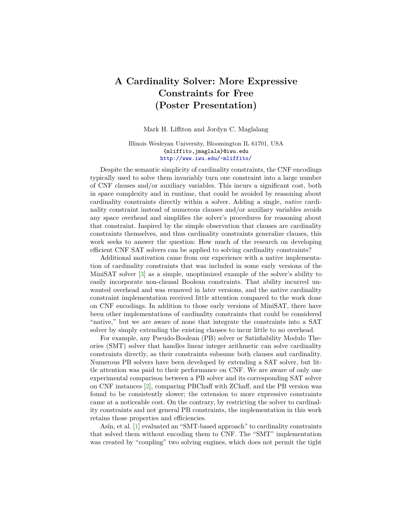## **A Cardinality Solver: More Expressive Constraints for Free (Poster Presentation)**

Mark H. Liffiton and Jordyn C. Maglalang

## Illinois Wesleyan University, Bloomington IL 61701, USA {mliffito,jmaglala}@iwu.edu <http://www.iwu.edu/~mliffito/>

Despite the semantic simplicity of cardinality constraints, the CNF encodings typically used to solve them invariably turn one constraint into a large number of CNF clauses and/or auxiliary variables. This incurs a significant cost, both in space complexity and in runtime, that could be avoided by reasoning about cardinality constraints directly within a solver. Adding a single, *native* cardinality constraint instead of numerous clauses and/or auxiliary variables avoids any space overhead and simplifies the solver's procedures for reasoning about that constraint. Inspired by the simple observation that clauses are cardinality constraints themselves, and thus cardinality constraints generalize clauses, this work seeks to answer the question: How much of the research on developing efficient CNF SAT solvers can be applied to solving cardinality constraints?

Additional motivation came from our experience with a native implementation of cardinality constraints that was included in some early versions of the MiniSAT solver [\[3\]](#page-1-0) as a simple, unoptimized example of the solver's ability to easily incorporate non-clausal Boolean constraints. That ability incurred unwanted overhead and was removed in later versions, and the native cardinality constraint implementation received little attention compared to the work done on CNF encodings. In addition to those early versions of MiniSAT, there have been other implementations of cardinality constraints that could be considered "native," but we are aware of none that integrate the constraints into a SAT solver by simply extending the existing clauses to incur little to no overhead.

For example, any Pseudo-Boolean (PB) solver or Satisfiability Modulo Theories (SMT) solver that handles linear integer arithmetic can solve cardinality constraints directly, as their constraints subsume both clauses and cardinality. Numerous PB solvers have been developed by extending a SAT solver, but little attention was paid to their performance on CNF. We are aware of only one experimental comparison between a PB solver and its corresponding SAT solver on CNF instances [\[2\]](#page-1-1), comparing PBChaff with ZChaff, and the PB version was found to be consistently slower; the extension to more expressive constraints came at a noticeable cost. On the contrary, by restricting the solver to cardinality constraints and not general PB constraints, the implementation in this work retains those properties and efficiencies.

Asín, et al. [\[1\]](#page-1-2) evaluated an "SMT-based approach" to cardinality constraints that solved them without encoding them to CNF. The "SMT" implementation was created by "coupling" two solving engines, which does not permit the tight